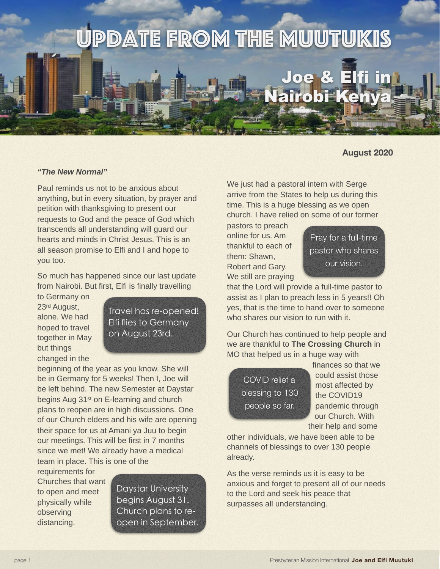

## **August 2020**

## **"The New Normal"**

Paul reminds us not to be anxious about anything, but in every situation, by prayer and petition with thanksgiving to present our requests to God and the peace of God which transcends all understanding will guard our hearts and minds in Christ Jesus. This is an all season promise to Elfi and I and hope to you too.

So much has happened since our last update from Nairobi. But first, Elfi is finally travelling

to Germany on 23rd August, alone. We had hoped to travel together in May but things changed in the

Travel has re-opened! Elfi flies to Germany on August 23rd.

beginning of the year as you know. She will be in Germany for 5 weeks! Then I, Joe will be left behind. The new Semester at Daystar begins Aug 31st on E-learning and church plans to reopen are in high discussions. One of our Church elders and his wife are opening their space for us at Amani ya Juu to begin our meetings. This will be first in 7 months since we met! We already have a medical team in place. This is one of the

requirements for Churches that want to open and meet physically while observing distancing.

Daystar University begins August 31. Church plans to reopen in September. We just had a pastoral intern with Serge arrive from the States to help us during this time. This is a huge blessing as we open church. I have relied on some of our former

pastors to preach online for us. Am thankful to each of them: Shawn, Robert and Gary. We still are praying



that the Lord will provide a full-time pastor to assist as I plan to preach less in 5 years!! Oh yes, that is the time to hand over to someone who shares our vision to run with it.

Our Church has continued to help people and we are thankful to **The Crossing Church** in MO that helped us in a huge way with

COVID relief a blessing to 130 people so far.

finances so that we could assist those most affected by the COVID19 pandemic through our Church. With their help and some

other individuals, we have been able to be channels of blessings to over 130 people already.

As the verse reminds us it is easy to be anxious and forget to present all of our needs to the Lord and seek his peace that surpasses all understanding.